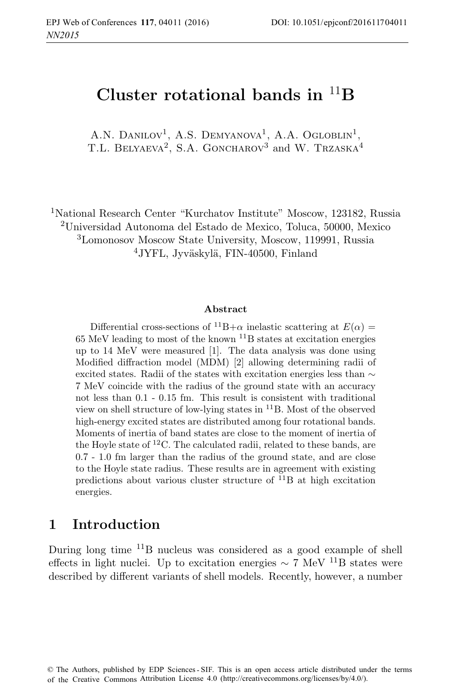# **Cluster rotational bands in** <sup>11</sup>**B**

A.N. DANILOV<sup>1</sup>, A.S. DEMYANOVA<sup>1</sup>, A.A. OGLOBLIN<sup>1</sup>, T.L. BELYAEVA<sup>2</sup>, S.A. GONCHAROV<sup>3</sup> and W. TRZASKA<sup>4</sup>

<sup>1</sup>National Research Center "Kurchatov Institute" Moscow, 123182, Russia <sup>2</sup>Universidad Autonoma del Estado de Mexico, Toluca, 50000, Mexico <sup>3</sup>Lomonosov Moscow State University, Moscow, 119991, Russia <sup>4</sup>JYFL, Jyväskylä, FIN-40500, Finland

#### **Abstract**

Differential cross-sections of <sup>11</sup>B+ $\alpha$  inelastic scattering at  $E(\alpha)$  =  $65$  MeV leading to most of the known  $^{11}B$  states at excitation energies up to 14 MeV were measured [1]. The data analysis was done using Modified diffraction model (MDM) [2] allowing determining radii of excited states. Radii of the states with excitation energies less than ∼ 7 MeV coincide with the radius of the ground state with an accuracy not less than 0.1 - 0.15 fm. This result is consistent with traditional view on shell structure of low-lying states in <sup>11</sup>B. Most of the observed high-energy excited states are distributed among four rotational bands. Moments of inertia of band states are close to the moment of inertia of the Hoyle state of  ${}^{12}$ C. The calculated radii, related to these bands, are 0.7 - 1.0 fm larger than the radius of the ground state, and are close to the Hoyle state radius. These results are in agreement with existing predictions about various cluster structure of  ${}^{11}B$  at high excitation energies.

#### **1 Introduction**

During long time  $^{11}$ B nucleus was considered as a good example of shell effects in light nuclei. Up to excitation energies  $\sim 7 \text{ MeV}$  1<sup>1</sup>B states were described by different variants of shell models. Recently, however, a number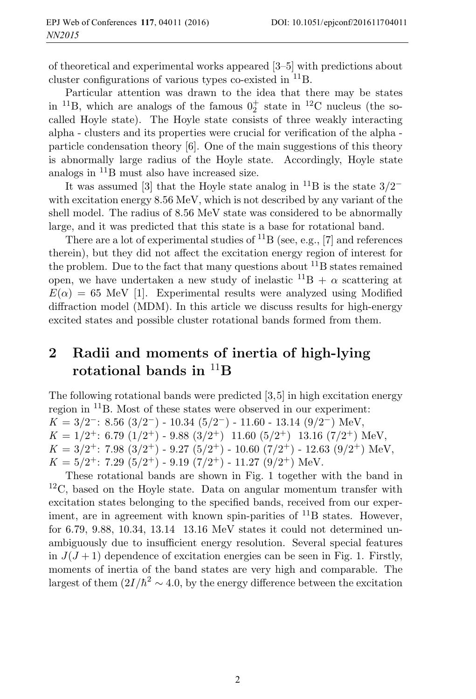of theoretical and experimental works appeared [3–5] with predictions about cluster configurations of various types co-existed in <sup>11</sup>B.

Particular attention was drawn to the idea that there may be states in <sup>11</sup>B, which are analogs of the famous  $0^+_2$  state in <sup>12</sup>C nucleus (the socalled Hoyle state). The Hoyle state consists of three weakly interacting alpha - clusters and its properties were crucial for verification of the alpha particle condensation theory [6]. One of the main suggestions of this theory is abnormally large radius of the Hoyle state. Accordingly, Hoyle state analogs in  $\mathrm{^{11}B}$  must also have increased size.

It was assumed [3] that the Hoyle state analog in <sup>11</sup>B is the state  $3/2^$ with excitation energy 8.56 MeV, which is not described by any variant of the shell model. The radius of 8.56 MeV state was considered to be abnormally large, and it was predicted that this state is a base for rotational band.

There are a lot of experimental studies of  ${}^{11}B$  (see, e.g., [7] and references therein), but they did not affect the excitation energy region of interest for the problem. Due to the fact that many questions about  ${}^{11}B$  states remained open, we have undertaken a new study of inelastic  $^{11}B + \alpha$  scattering at  $E(\alpha) = 65$  MeV [1]. Experimental results were analyzed using Modified diffraction model (MDM). In this article we discuss results for high-energy excited states and possible cluster rotational bands formed from them.

# **2 Radii and moments of inertia of high-lying rotational bands in** <sup>11</sup>**B**

The following rotational bands were predicted [3,5] in high excitation energy region in <sup>11</sup>B. Most of these states were observed in our experiment:  $K = 3/2^-$ : 8.56 (3/2<sup>-</sup>) - 10.34 (5/2<sup>-</sup>) - 11.60 - 13.14 (9/2<sup>-</sup>) MeV,  $K = 1/2^+$ : 6.79  $(1/2^+)$  - 9.88  $(3/2^+)$  11.60  $(5/2^+)$  13.16  $(7/2^+)$  MeV,  $K = 3/2^+$ : 7.98  $(3/2^+)$  - 9.27  $(5/2^+)$  - 10.60  $(7/2^+)$  - 12.63  $(9/2^+)$  MeV,  $K = 5/2^+$ : 7.29  $(5/2^+)$  - 9.19  $(7/2^+)$  - 11.27  $(9/2^+)$  MeV.

These rotational bands are shown in Fig. 1 together with the band in  ${}^{12}C$ , based on the Hoyle state. Data on angular momentum transfer with excitation states belonging to the specified bands, received from our experiment, are in agreement with known spin-parities of  $^{11}B$  states. However, for 6.79, 9.88, 10.34, 13.14 13.16 MeV states it could not determined unambiguously due to insufficient energy resolution. Several special features in  $J(J+1)$  dependence of excitation energies can be seen in Fig. 1. Firstly, moments of inertia of the band states are very high and comparable. The largest of them  $(2I/\hbar^2 \sim 4.0$ , by the energy difference between the excitation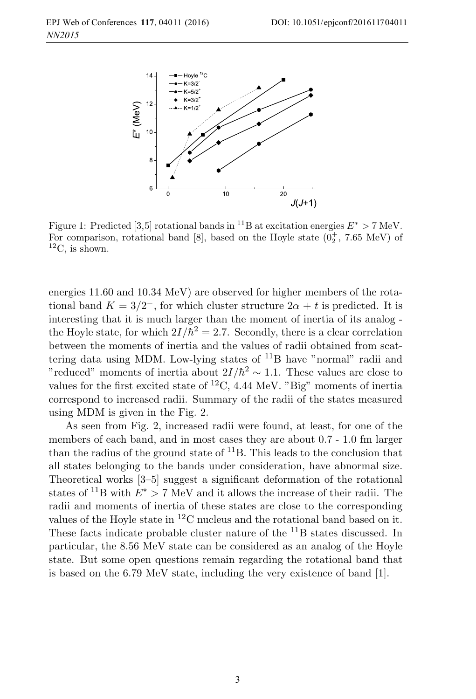

Figure 1: Predicted [3,5] rotational bands in <sup>11</sup>B at excitation energies  $E^* > 7$  MeV. For comparison, rotational band [8], based on the Hoyle state  $(0<sub>2</sub><sup>+</sup>, 7.65 \text{ MeV})$  of  ${}^{12}C$ , is shown.

energies 11.60 and 10.34 MeV) are observed for higher members of the rotational band  $K = 3/2^-$ , for which cluster structure  $2\alpha + t$  is predicted. It is interesting that it is much larger than the moment of inertia of its analog the Hoyle state, for which  $2I/\hbar^2 = 2.7$ . Secondly, there is a clear correlation between the moments of inertia and the values of radii obtained from scattering data using MDM. Low-lying states of  $^{11}B$  have "normal" radii and "reduced" moments of inertia about  $2I/\hbar^2 \sim 1.1$ . These values are close to values for the first excited state of  ${}^{12}C$ , 4.44 MeV. "Big" moments of inertia correspond to increased radii. Summary of the radii of the states measured using MDM is given in the Fig. 2.

As seen from Fig. 2, increased radii were found, at least, for one of the members of each band, and in most cases they are about 0.7 - 1.0 fm larger than the radius of the ground state of  ${}^{11}B$ . This leads to the conclusion that all states belonging to the bands under consideration, have abnormal size. Theoretical works [3–5] suggest a significant deformation of the rotational states of <sup>11</sup>B with  $E^* > 7$  MeV and it allows the increase of their radii. The radii and moments of inertia of these states are close to the corresponding values of the Hoyle state in  ${}^{12}$ C nucleus and the rotational band based on it. These facts indicate probable cluster nature of the <sup>11</sup>B states discussed. In particular, the 8.56 MeV state can be considered as an analog of the Hoyle state. But some open questions remain regarding the rotational band that is based on the 6.79 MeV state, including the very existence of band [1].